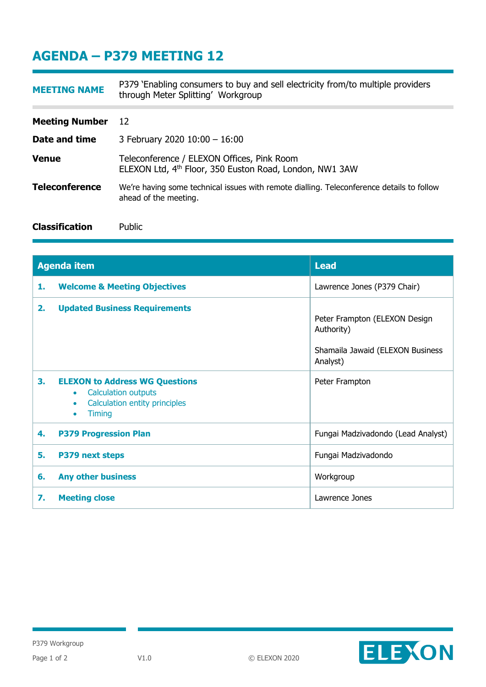## **AGENDA – P379 MEETING 12**

| <b>MEETING NAME</b>   | P379 `Enabling consumers to buy and sell electricity from/to multiple providers<br>through Meter Splitting' Workgroup |
|-----------------------|-----------------------------------------------------------------------------------------------------------------------|
|                       |                                                                                                                       |
| <b>Meeting Number</b> | 12                                                                                                                    |
| Date and time         | 3 February 2020 10:00 - 16:00                                                                                         |
| <b>Venue</b>          | Teleconference / ELEXON Offices, Pink Room<br>ELEXON Ltd, 4 <sup>th</sup> Floor, 350 Euston Road, London, NW1 3AW     |
| <b>Teleconference</b> | We're having some technical issues with remote dialling. Teleconference details to follow<br>ahead of the meeting.    |
| <b>Classification</b> | Public                                                                                                                |

| <b>Agenda item</b> |                                                                                                                                                              | <b>Lead</b>                                                                                 |
|--------------------|--------------------------------------------------------------------------------------------------------------------------------------------------------------|---------------------------------------------------------------------------------------------|
| 1.                 | <b>Welcome &amp; Meeting Objectives</b>                                                                                                                      | Lawrence Jones (P379 Chair)                                                                 |
| 2.                 | <b>Updated Business Requirements</b>                                                                                                                         | Peter Frampton (ELEXON Design<br>Authority)<br>Shamaila Jawaid (ELEXON Business<br>Analyst) |
| 3.                 | <b>ELEXON to Address WG Questions</b><br><b>Calculation outputs</b><br>$\bullet$<br>Calculation entity principles<br>$\bullet$<br><b>Timing</b><br>$\bullet$ | Peter Frampton                                                                              |
| 4.                 | <b>P379 Progression Plan</b>                                                                                                                                 | Fungai Madzivadondo (Lead Analyst)                                                          |
| 5.                 | P379 next steps                                                                                                                                              | Fungai Madzivadondo                                                                         |
| 6.                 | <b>Any other business</b>                                                                                                                                    | Workgroup                                                                                   |
| 7.                 | <b>Meeting close</b>                                                                                                                                         | Lawrence Jones                                                                              |